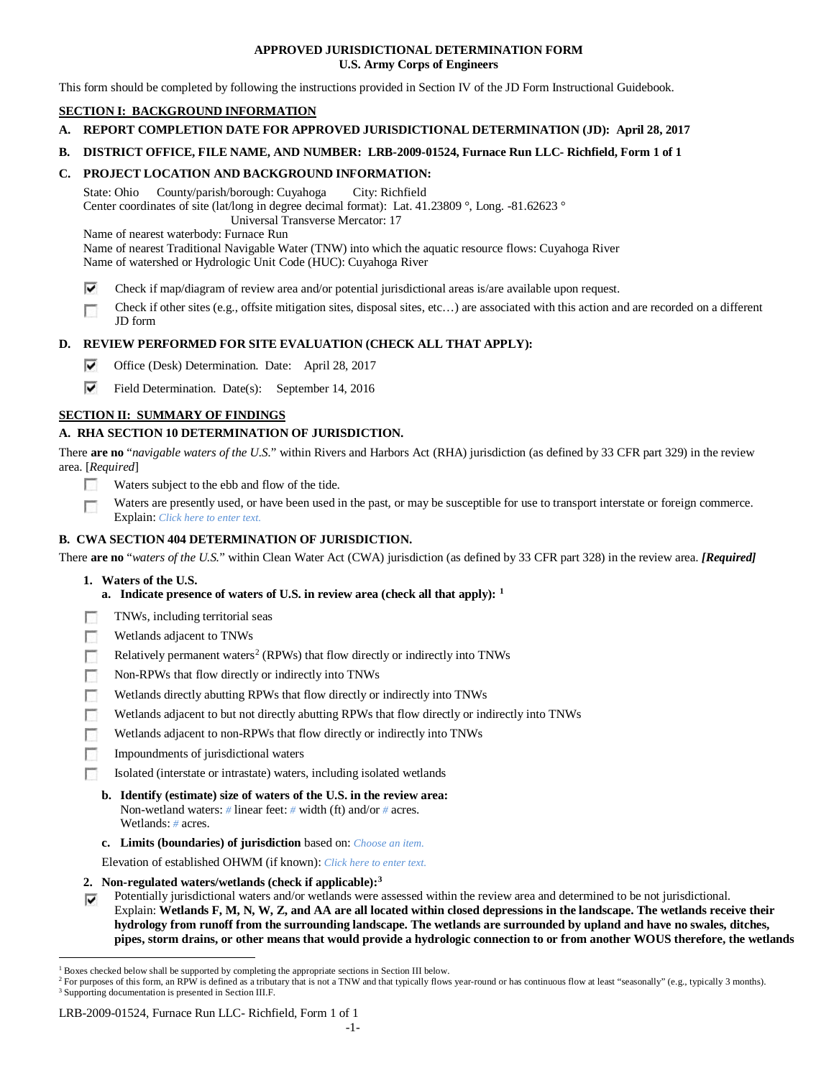### **APPROVED JURISDICTIONAL DETERMINATION FORM U.S. Army Corps of Engineers**

This form should be completed by following the instructions provided in Section IV of the JD Form Instructional Guidebook.

# **SECTION I: BACKGROUND INFORMATION**

- **A. REPORT COMPLETION DATE FOR APPROVED JURISDICTIONAL DETERMINATION (JD): April 28, 2017**
- **B. DISTRICT OFFICE, FILE NAME, AND NUMBER: LRB-2009-01524, Furnace Run LLC- Richfield, Form 1 of 1**

# **C. PROJECT LOCATION AND BACKGROUND INFORMATION:**

State: Ohio County/parish/borough: Cuyahoga City: Richfield Center coordinates of site (lat/long in degree decimal format): Lat. 41.23809 °, Long. -81.62623 ° Universal Transverse Mercator: 17

Name of nearest waterbody: Furnace Run

Name of nearest Traditional Navigable Water (TNW) into which the aquatic resource flows: Cuyahoga River Name of watershed or Hydrologic Unit Code (HUC): Cuyahoga River

- ⊽ Check if map/diagram of review area and/or potential jurisdictional areas is/are available upon request.
- Check if other sites (e.g., offsite mitigation sites, disposal sites, etc…) are associated with this action and are recorded on a different п JD form

# **D. REVIEW PERFORMED FOR SITE EVALUATION (CHECK ALL THAT APPLY):**

- ⊽ Office (Desk) Determination. Date: April 28, 2017
- ⊽ Field Determination. Date(s): September 14, 2016

# **SECTION II: SUMMARY OF FINDINGS**

# **A. RHA SECTION 10 DETERMINATION OF JURISDICTION.**

There **are no** "*navigable waters of the U.S.*" within Rivers and Harbors Act (RHA) jurisdiction (as defined by 33 CFR part 329) in the review area. [*Required*]

- Е Waters subject to the ebb and flow of the tide.
- Waters are presently used, or have been used in the past, or may be susceptible for use to transport interstate or foreign commerce. п Explain: *Click here to enter text.*

# **B. CWA SECTION 404 DETERMINATION OF JURISDICTION.**

There **are no** "*waters of the U.S.*" within Clean Water Act (CWA) jurisdiction (as defined by 33 CFR part 328) in the review area. *[Required]*

- **1. Waters of the U.S.**
	- **a. Indicate presence of waters of U.S. in review area (check all that apply): [1](#page-0-0)**
- TNWs, including territorial seas
- 同 Wetlands adjacent to TNWs
- Relatively permanent waters<sup>2</sup> (RPWs) that flow directly or indirectly into TNWs г
- Non-RPWs that flow directly or indirectly into TNWs
- п Wetlands directly abutting RPWs that flow directly or indirectly into TNWs
- Wetlands adjacent to but not directly abutting RPWs that flow directly or indirectly into TNWs г
- Wetlands adjacent to non-RPWs that flow directly or indirectly into TNWs г
- п Impoundments of jurisdictional waters
- Isolated (interstate or intrastate) waters, including isolated wetlands п
	- **b. Identify (estimate) size of waters of the U.S. in the review area:** Non-wetland waters: *#* linear feet: *#* width (ft) and/or *#* acres. Wetlands: *#* acres.
	- **c. Limits (boundaries) of jurisdiction** based on: *Choose an item.*

Elevation of established OHWM (if known): *Click here to enter text.*

- **2. Non-regulated waters/wetlands (check if applicable):[3](#page-0-2)**
- Potentially jurisdictional waters and/or wetlands were assessed within the review area and determined to be not jurisdictional. ⊽ Explain: **Wetlands F, M, N, W, Z, and AA are all located within closed depressions in the landscape. The wetlands receive their hydrology from runoff from the surrounding landscape. The wetlands are surrounded by upland and have no swales, ditches, pipes, storm drains, or other means that would provide a hydrologic connection to or from another WOUS therefore, the wetlands**

<span id="page-0-0"></span><sup>&</sup>lt;sup>1</sup> Boxes checked below shall be supported by completing the appropriate sections in Section III below.

<span id="page-0-2"></span><span id="page-0-1"></span><sup>&</sup>lt;sup>2</sup> For purposes of this form, an RPW is defined as a tributary that is not a TNW and that typically flows year-round or has continuous flow at least "seasonally" (e.g., typically 3 months). <sup>3</sup> Supporting documentation is presented in Section III.F.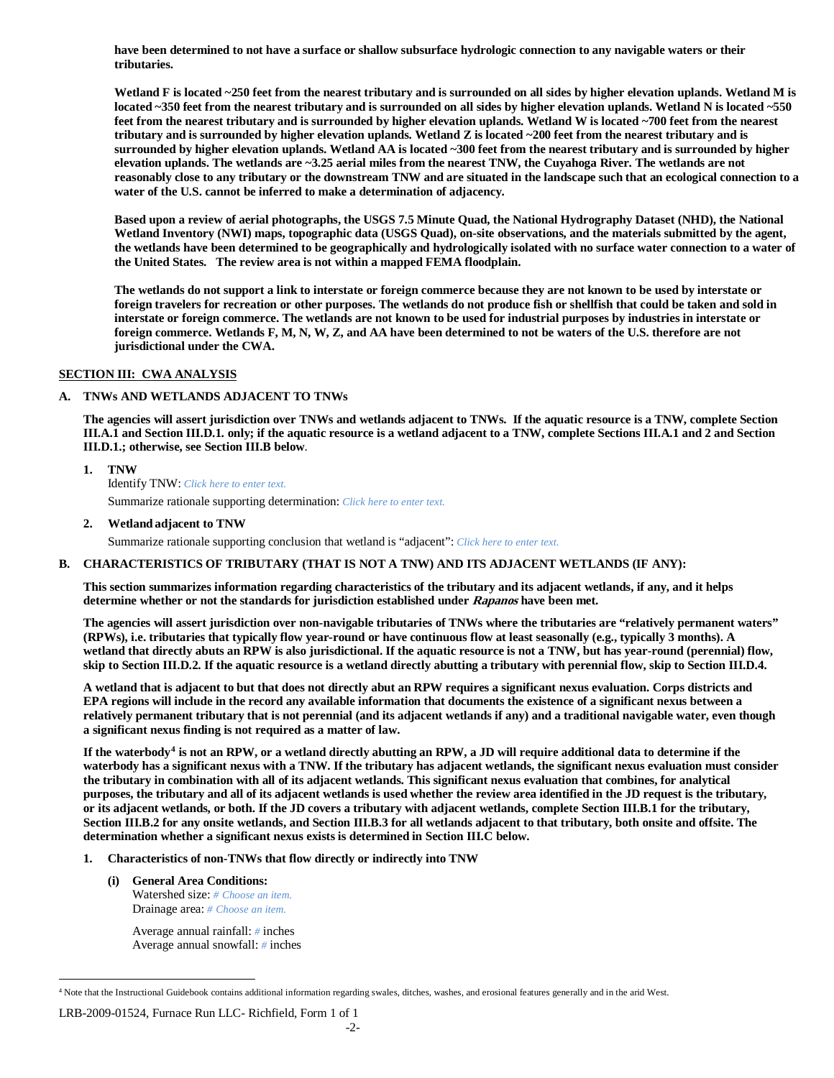**have been determined to not have a surface or shallow subsurface hydrologic connection to any navigable waters or their tributaries.** 

**Wetland F is located ~250 feet from the nearest tributary and is surrounded on all sides by higher elevation uplands. Wetland M is located ~350 feet from the nearest tributary and is surrounded on all sides by higher elevation uplands. Wetland N is located ~550**  feet from the nearest tributary and is surrounded by higher elevation uplands. Wetland W is located ~700 feet from the nearest **tributary and is surrounded by higher elevation uplands. Wetland Z is located ~200 feet from the nearest tributary and is surrounded by higher elevation uplands. Wetland AA is located ~300 feet from the nearest tributary and is surrounded by higher elevation uplands. The wetlands are ~3.25 aerial miles from the nearest TNW, the Cuyahoga River. The wetlands are not reasonably close to any tributary or the downstream TNW and are situated in the landscape such that an ecological connection to a water of the U.S. cannot be inferred to make a determination of adjacency.** 

**Based upon a review of aerial photographs, the USGS 7.5 Minute Quad, the National Hydrography Dataset (NHD), the National Wetland Inventory (NWI) maps, topographic data (USGS Quad), on-site observations, and the materials submitted by the agent, the wetlands have been determined to be geographically and hydrologically isolated with no surface water connection to a water of the United States. The review area is not within a mapped FEMA floodplain.** 

**The wetlands do not support a link to interstate or foreign commerce because they are not known to be used by interstate or foreign travelers for recreation or other purposes. The wetlands do not produce fish or shellfish that could be taken and sold in interstate or foreign commerce. The wetlands are not known to be used for industrial purposes by industries in interstate or foreign commerce. Wetlands F, M, N, W, Z, and AA have been determined to not be waters of the U.S. therefore are not jurisdictional under the CWA.**

### **SECTION III: CWA ANALYSIS**

## **A. TNWs AND WETLANDS ADJACENT TO TNWs**

**The agencies will assert jurisdiction over TNWs and wetlands adjacent to TNWs. If the aquatic resource is a TNW, complete Section III.A.1 and Section III.D.1. only; if the aquatic resource is a wetland adjacent to a TNW, complete Sections III.A.1 and 2 and Section III.D.1.; otherwise, see Section III.B below**.

**1. TNW** 

Identify TNW: *Click here to enter text.*

Summarize rationale supporting determination: *Click here to enter text.*

**2. Wetland adjacent to TNW**

Summarize rationale supporting conclusion that wetland is "adjacent": *Click here to enter text.*

#### **B. CHARACTERISTICS OF TRIBUTARY (THAT IS NOT A TNW) AND ITS ADJACENT WETLANDS (IF ANY):**

**This section summarizes information regarding characteristics of the tributary and its adjacent wetlands, if any, and it helps determine whether or not the standards for jurisdiction established under Rapanos have been met.** 

**The agencies will assert jurisdiction over non-navigable tributaries of TNWs where the tributaries are "relatively permanent waters" (RPWs), i.e. tributaries that typically flow year-round or have continuous flow at least seasonally (e.g., typically 3 months). A wetland that directly abuts an RPW is also jurisdictional. If the aquatic resource is not a TNW, but has year-round (perennial) flow, skip to Section III.D.2. If the aquatic resource is a wetland directly abutting a tributary with perennial flow, skip to Section III.D.4.**

**A wetland that is adjacent to but that does not directly abut an RPW requires a significant nexus evaluation. Corps districts and EPA regions will include in the record any available information that documents the existence of a significant nexus between a relatively permanent tributary that is not perennial (and its adjacent wetlands if any) and a traditional navigable water, even though a significant nexus finding is not required as a matter of law.**

**If the waterbody[4](#page-1-0) is not an RPW, or a wetland directly abutting an RPW, a JD will require additional data to determine if the waterbody has a significant nexus with a TNW. If the tributary has adjacent wetlands, the significant nexus evaluation must consider the tributary in combination with all of its adjacent wetlands. This significant nexus evaluation that combines, for analytical purposes, the tributary and all of its adjacent wetlands is used whether the review area identified in the JD request is the tributary, or its adjacent wetlands, or both. If the JD covers a tributary with adjacent wetlands, complete Section III.B.1 for the tributary, Section III.B.2 for any onsite wetlands, and Section III.B.3 for all wetlands adjacent to that tributary, both onsite and offsite. The determination whether a significant nexus exists is determined in Section III.C below.**

- **1. Characteristics of non-TNWs that flow directly or indirectly into TNW**
	- **(i) General Area Conditions:** Watershed size: *# Choose an item.* Drainage area: *# Choose an item.*

Average annual rainfall: *#* inches Average annual snowfall: *#* inches

LRB-2009-01524, Furnace Run LLC- Richfield, Form 1 of 1

<span id="page-1-0"></span> <sup>4</sup> Note that the Instructional Guidebook contains additional information regarding swales, ditches, washes, and erosional features generally and in the arid West.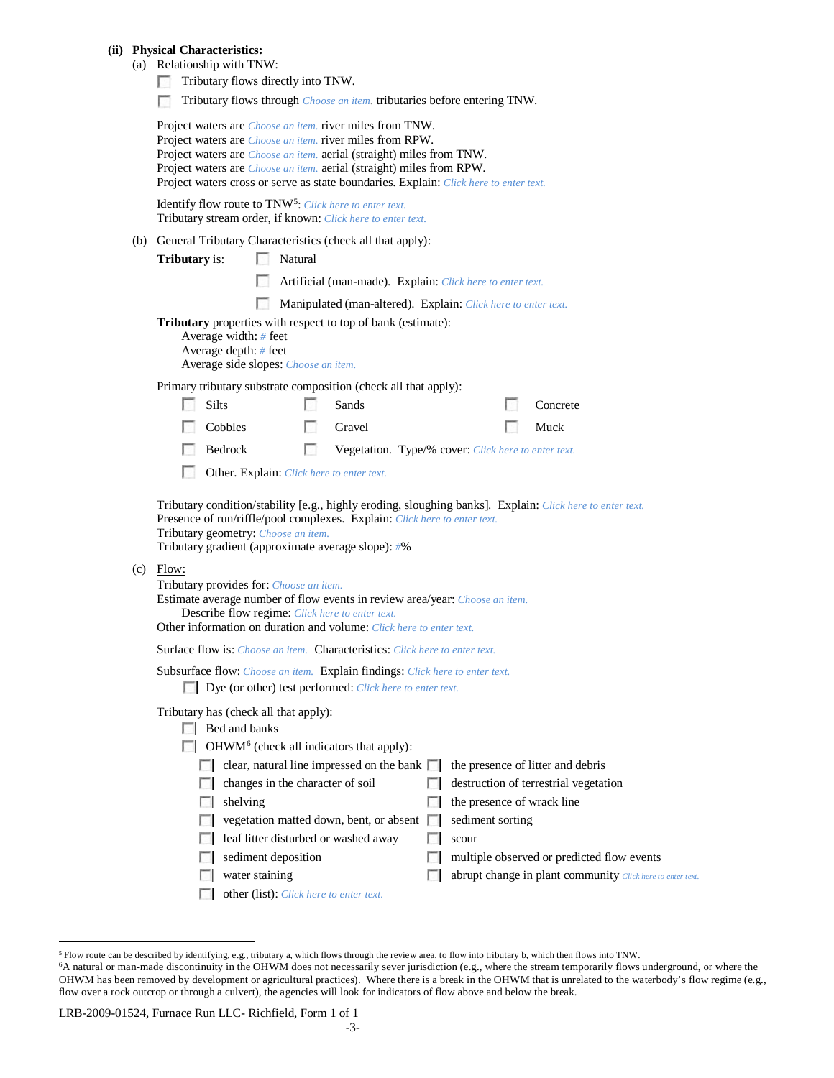#### **(ii) Physical Characteristics:**

# (a) Relationship with TNW:

- Tributary flows directly into TNW.
- Tributary flows through *Choose an item*. tributaries before entering TNW.

|                                                                                                                                                                                                                                                                                                                                                                                                                                                                                 |              |                     |                                         | Project waters are <i>Choose an item.</i> river miles from TNW.<br>Project waters are <i>Choose an item.</i> river miles from RPW.<br>Project waters are <i>Choose an item.</i> aerial (straight) miles from TNW.<br>Project waters are <i>Choose an item.</i> aerial (straight) miles from RPW.<br>Project waters cross or serve as state boundaries. Explain: Click here to enter text. |    |                            |  |                                                            |  |  |  |
|---------------------------------------------------------------------------------------------------------------------------------------------------------------------------------------------------------------------------------------------------------------------------------------------------------------------------------------------------------------------------------------------------------------------------------------------------------------------------------|--------------|---------------------|-----------------------------------------|-------------------------------------------------------------------------------------------------------------------------------------------------------------------------------------------------------------------------------------------------------------------------------------------------------------------------------------------------------------------------------------------|----|----------------------------|--|------------------------------------------------------------|--|--|--|
| Identify flow route to TNW <sup>5</sup> : Click here to enter text.<br>Tributary stream order, if known: Click here to enter text.                                                                                                                                                                                                                                                                                                                                              |              |                     |                                         |                                                                                                                                                                                                                                                                                                                                                                                           |    |                            |  |                                                            |  |  |  |
| (b) General Tributary Characteristics (check all that apply):                                                                                                                                                                                                                                                                                                                                                                                                                   |              |                     |                                         |                                                                                                                                                                                                                                                                                                                                                                                           |    |                            |  |                                                            |  |  |  |
| Tributary is:                                                                                                                                                                                                                                                                                                                                                                                                                                                                   |              | $\sim$              | Natural                                 |                                                                                                                                                                                                                                                                                                                                                                                           |    |                            |  |                                                            |  |  |  |
| Artificial (man-made). Explain: Click here to enter text.                                                                                                                                                                                                                                                                                                                                                                                                                       |              |                     |                                         |                                                                                                                                                                                                                                                                                                                                                                                           |    |                            |  |                                                            |  |  |  |
| $\mathcal{L}$<br>Manipulated (man-altered). Explain: Click here to enter text.                                                                                                                                                                                                                                                                                                                                                                                                  |              |                     |                                         |                                                                                                                                                                                                                                                                                                                                                                                           |    |                            |  |                                                            |  |  |  |
| <b>Tributary</b> properties with respect to top of bank (estimate):<br>Average width: # feet<br>Average depth: # feet<br>Average side slopes: Choose an item.                                                                                                                                                                                                                                                                                                                   |              |                     |                                         |                                                                                                                                                                                                                                                                                                                                                                                           |    |                            |  |                                                            |  |  |  |
| Primary tributary substrate composition (check all that apply):                                                                                                                                                                                                                                                                                                                                                                                                                 |              |                     |                                         |                                                                                                                                                                                                                                                                                                                                                                                           |    |                            |  |                                                            |  |  |  |
|                                                                                                                                                                                                                                                                                                                                                                                                                                                                                 | <b>Silts</b> |                     |                                         | Sands                                                                                                                                                                                                                                                                                                                                                                                     |    |                            |  | Concrete                                                   |  |  |  |
|                                                                                                                                                                                                                                                                                                                                                                                                                                                                                 | Cobbles      |                     | $\mathcal{L}_{\mathcal{A}}$             | Gravel                                                                                                                                                                                                                                                                                                                                                                                    |    |                            |  | Muck                                                       |  |  |  |
|                                                                                                                                                                                                                                                                                                                                                                                                                                                                                 | Bedrock      |                     | $\sim$                                  | Vegetation. Type/% cover: Click here to enter text.                                                                                                                                                                                                                                                                                                                                       |    |                            |  |                                                            |  |  |  |
| Other. Explain: Click here to enter text.                                                                                                                                                                                                                                                                                                                                                                                                                                       |              |                     |                                         |                                                                                                                                                                                                                                                                                                                                                                                           |    |                            |  |                                                            |  |  |  |
| Tributary condition/stability [e.g., highly eroding, sloughing banks]. Explain: Click here to enter text.<br>Presence of run/riffle/pool complexes. Explain: Click here to enter text.<br>Tributary geometry: Choose an item.<br>Tributary gradient (approximate average slope): #%<br>$(c)$ Flow:<br>Tributary provides for: Choose an item.<br>Estimate average number of flow events in review area/year: Choose an item.<br>Describe flow regime: Click here to enter text. |              |                     |                                         |                                                                                                                                                                                                                                                                                                                                                                                           |    |                            |  |                                                            |  |  |  |
| Other information on duration and volume: Click here to enter text.                                                                                                                                                                                                                                                                                                                                                                                                             |              |                     |                                         |                                                                                                                                                                                                                                                                                                                                                                                           |    |                            |  |                                                            |  |  |  |
| Surface flow is: Choose an item. Characteristics: Click here to enter text.                                                                                                                                                                                                                                                                                                                                                                                                     |              |                     |                                         |                                                                                                                                                                                                                                                                                                                                                                                           |    |                            |  |                                                            |  |  |  |
| Subsurface flow: Choose an item. Explain findings: Click here to enter text.<br>Dye (or other) test performed: Click here to enter text.                                                                                                                                                                                                                                                                                                                                        |              |                     |                                         |                                                                                                                                                                                                                                                                                                                                                                                           |    |                            |  |                                                            |  |  |  |
| Tributary has (check all that apply):<br>Bed and banks<br>OHWM <sup>6</sup> (check all indicators that apply):                                                                                                                                                                                                                                                                                                                                                                  |              |                     |                                         |                                                                                                                                                                                                                                                                                                                                                                                           |    |                            |  |                                                            |  |  |  |
|                                                                                                                                                                                                                                                                                                                                                                                                                                                                                 |              |                     |                                         | clear, natural line impressed on the bank $\Box$                                                                                                                                                                                                                                                                                                                                          |    |                            |  | the presence of litter and debris                          |  |  |  |
|                                                                                                                                                                                                                                                                                                                                                                                                                                                                                 |              |                     | changes in the character of soil        |                                                                                                                                                                                                                                                                                                                                                                                           |    |                            |  | destruction of terrestrial vegetation                      |  |  |  |
|                                                                                                                                                                                                                                                                                                                                                                                                                                                                                 |              | shelving            |                                         |                                                                                                                                                                                                                                                                                                                                                                                           | L. | the presence of wrack line |  |                                                            |  |  |  |
|                                                                                                                                                                                                                                                                                                                                                                                                                                                                                 |              |                     |                                         | vegetation matted down, bent, or absent $\Box$                                                                                                                                                                                                                                                                                                                                            |    | sediment sorting           |  |                                                            |  |  |  |
|                                                                                                                                                                                                                                                                                                                                                                                                                                                                                 |              |                     |                                         | leaf litter disturbed or washed away                                                                                                                                                                                                                                                                                                                                                      |    | scour                      |  |                                                            |  |  |  |
|                                                                                                                                                                                                                                                                                                                                                                                                                                                                                 |              | sediment deposition |                                         |                                                                                                                                                                                                                                                                                                                                                                                           |    |                            |  | multiple observed or predicted flow events                 |  |  |  |
|                                                                                                                                                                                                                                                                                                                                                                                                                                                                                 |              | water staining      |                                         |                                                                                                                                                                                                                                                                                                                                                                                           | L. |                            |  | abrupt change in plant community Click here to enter text. |  |  |  |
|                                                                                                                                                                                                                                                                                                                                                                                                                                                                                 |              |                     | other (list): Click here to enter text. |                                                                                                                                                                                                                                                                                                                                                                                           |    |                            |  |                                                            |  |  |  |

LRB-2009-01524, Furnace Run LLC- Richfield, Form 1 of 1

<span id="page-2-0"></span> <sup>5</sup> Flow route can be described by identifying, e.g., tributary a, which flows through the review area, to flow into tributary b, which then flows into TNW.

<span id="page-2-1"></span><sup>6</sup>A natural or man-made discontinuity in the OHWM does not necessarily sever jurisdiction (e.g., where the stream temporarily flows underground, or where the OHWM has been removed by development or agricultural practices). Where there is a break in the OHWM that is unrelated to the waterbody's flow regime (e.g., flow over a rock outcrop or through a culvert), the agencies will look for indicators of flow above and below the break.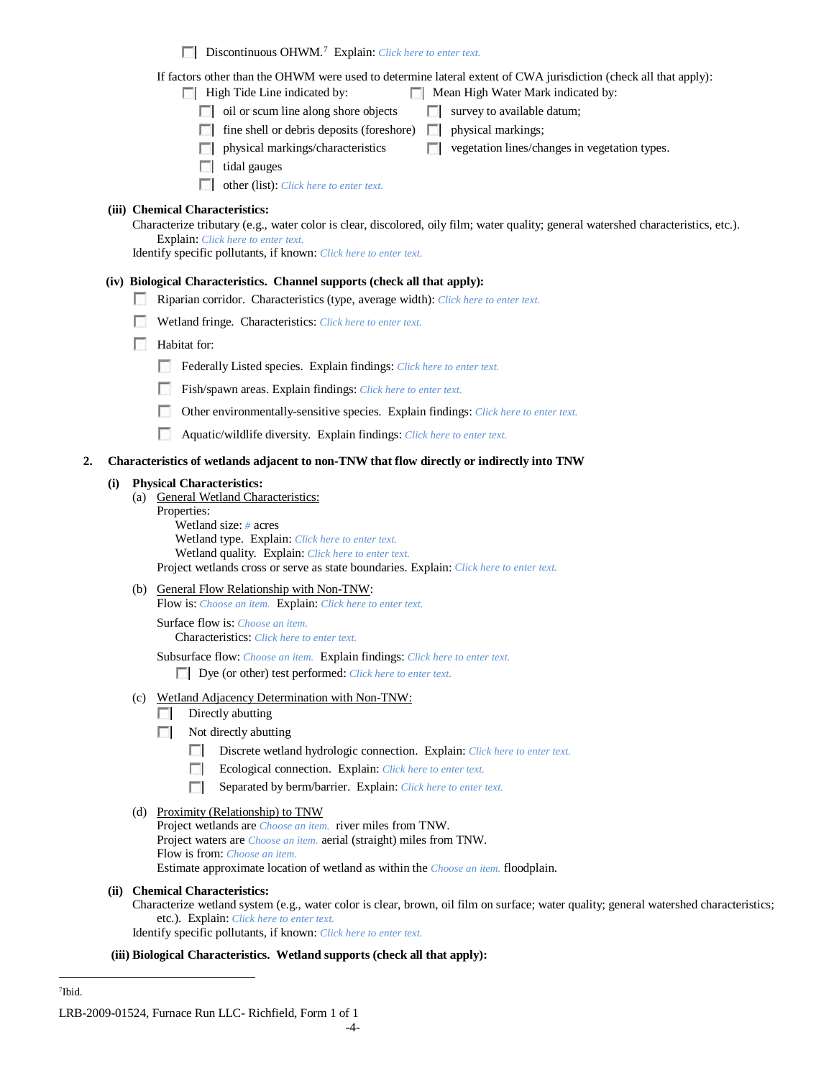Discontinuous OHWM.[7](#page-3-0) Explain: *Click here to enter text.*

If factors other than the OHWM were used to determine lateral extent of CWA jurisdiction (check all that apply):

 $\Box$  High Tide Line indicated by:  $\Box$  Mean High Water Mark indicated by:

- 
- $\Box$  oil or scum line along shore objects  $\Box$  survey to available datum;
- $\Box$  fine shell or debris deposits (foreshore)  $\Box$  physical markings;

 $\Box$  physical markings/characteristics  $\Box$  vegetation lines/changes in vegetation types.

- $\Box$  tidal gauges
- other (list): *Click here to enter text.*

# **(iii) Chemical Characteristics:**

Characterize tributary (e.g., water color is clear, discolored, oily film; water quality; general watershed characteristics, etc.). Explain: *Click here to enter text.*

Identify specific pollutants, if known: *Click here to enter text.*

# **(iv) Biological Characteristics. Channel supports (check all that apply):**

- Riparian corridor. Characteristics (type, average width): *Click here to enter text.*
- Wetland fringe. Characteristics: *Click here to enter text.*
- **Habitat for:** 
	- Federally Listed species. Explain findings: *Click here to enter text.*
	- Fish/spawn areas. Explain findings: *Click here to enter text.*
	- Other environmentally-sensitive species. Explain findings: *Click here to enter text.*  $\sim$
	- $\sim$ Aquatic/wildlife diversity. Explain findings: *Click here to enter text.*

### **2. Characteristics of wetlands adjacent to non-TNW that flow directly or indirectly into TNW**

#### **(i) Physical Characteristics:**

- (a) General Wetland Characteristics:
	- Properties:

Wetland size: *#* acres Wetland type. Explain: *Click here to enter text.* Wetland quality. Explain: *Click here to enter text.* Project wetlands cross or serve as state boundaries. Explain: *Click here to enter text.*

(b) General Flow Relationship with Non-TNW:

Flow is: *Choose an item.* Explain: *Click here to enter text.*

Surface flow is: *Choose an item.*

Characteristics: *Click here to enter text.*

Subsurface flow: *Choose an item.* Explain findings: *Click here to enter text.* Dye (or other) test performed: *Click here to enter text.*

- (c) Wetland Adjacency Determination with Non-TNW:
	- $\Box$  Directly abutting
	- Not directly abutting
		- Discrete wetland hydrologic connection. Explain: *Click here to enter text.*  $\Box$
		- **The Contract of the Contract of the Contract of the Contract of the Contract of the Contract of the Contract of the Contract of the Contract of the Contract of the Contract of the Contract of the Contract of the Contract** Ecological connection. Explain: *Click here to enter text.*
		- Separated by berm/barrier. Explain: *Click here to enter text.* **The Contract of the Contract of the Contract of the Contract of the Contract of the Contract of the Contract of the Contract of the Contract of the Contract of the Contract of the Contract of the Contract of the Contract**

### (d) Proximity (Relationship) to TNW

Project wetlands are *Choose an item.* river miles from TNW. Project waters are *Choose an item.* aerial (straight) miles from TNW. Flow is from: *Choose an item.* Estimate approximate location of wetland as within the *Choose an item.* floodplain.

### **(ii) Chemical Characteristics:**

Characterize wetland system (e.g., water color is clear, brown, oil film on surface; water quality; general watershed characteristics; etc.). Explain: *Click here to enter text.*

Identify specific pollutants, if known: *Click here to enter text.*

### **(iii) Biological Characteristics. Wetland supports (check all that apply):**

<span id="page-3-0"></span> <sup>7</sup>Ibid.

LRB-2009-01524, Furnace Run LLC- Richfield, Form 1 of 1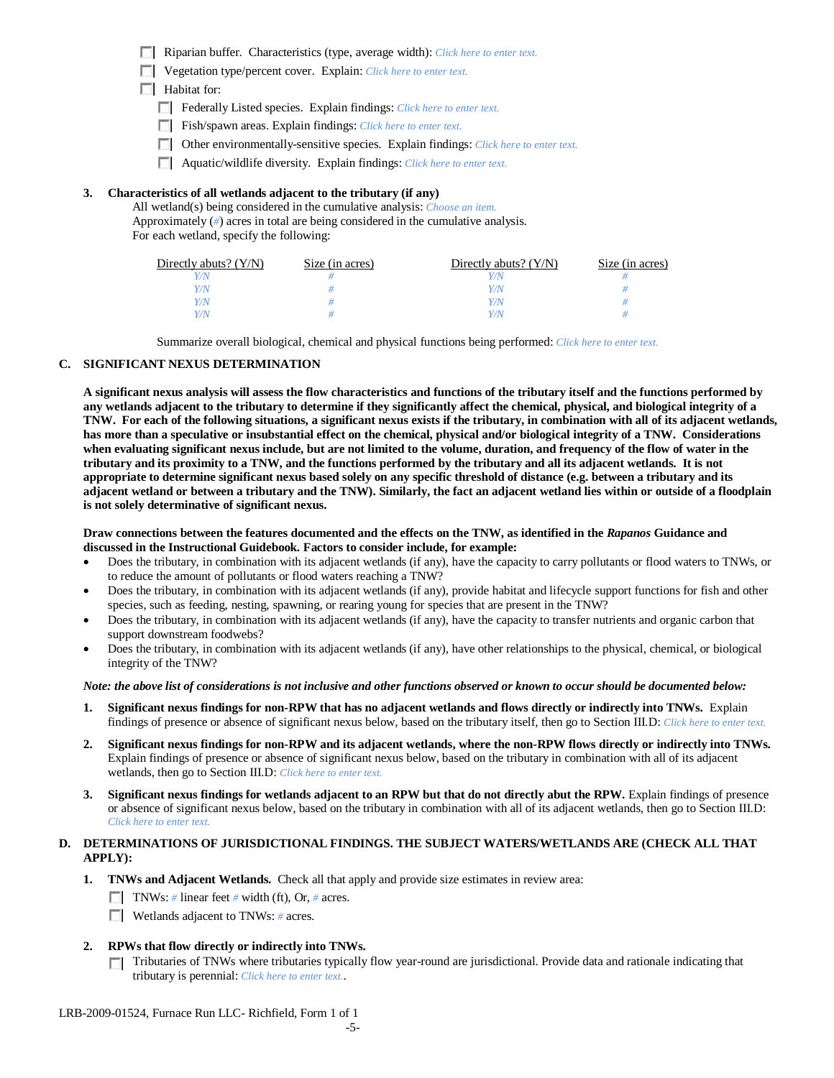Riparian buffer. Characteristics (type, average width): *Click here to enter text.*

Vegetation type/percent cover. Explain: *Click here to enter text.*

**Habitat for:** 

- Federally Listed species. Explain findings: *Click here to enter text.*
- Fish/spawn areas. Explain findings: *Click here to enter text.*
- Other environmentally-sensitive species. Explain findings: *Click here to enter text.*
- Aquatic/wildlife diversity. Explain findings: *Click here to enter text.*

### **3. Characteristics of all wetlands adjacent to the tributary (if any)**

All wetland(s) being considered in the cumulative analysis: *Choose an item.* Approximately (*#*) acres in total are being considered in the cumulative analysis. For each wetland, specify the following:

| Directly abuts? $(Y/N)$ | Size (in acres) | Directly abuts? $(Y/N)$ | Size (in acres) |
|-------------------------|-----------------|-------------------------|-----------------|
|                         |                 |                         |                 |
| Y/N                     |                 | Y/N                     |                 |
| Y/N                     |                 |                         |                 |
| V/N/                    |                 |                         |                 |

Summarize overall biological, chemical and physical functions being performed: *Click here to enter text.*

#### **C. SIGNIFICANT NEXUS DETERMINATION**

**A significant nexus analysis will assess the flow characteristics and functions of the tributary itself and the functions performed by any wetlands adjacent to the tributary to determine if they significantly affect the chemical, physical, and biological integrity of a TNW. For each of the following situations, a significant nexus exists if the tributary, in combination with all of its adjacent wetlands, has more than a speculative or insubstantial effect on the chemical, physical and/or biological integrity of a TNW. Considerations when evaluating significant nexus include, but are not limited to the volume, duration, and frequency of the flow of water in the tributary and its proximity to a TNW, and the functions performed by the tributary and all its adjacent wetlands. It is not appropriate to determine significant nexus based solely on any specific threshold of distance (e.g. between a tributary and its adjacent wetland or between a tributary and the TNW). Similarly, the fact an adjacent wetland lies within or outside of a floodplain is not solely determinative of significant nexus.** 

#### **Draw connections between the features documented and the effects on the TNW, as identified in the** *Rapanos* **Guidance and discussed in the Instructional Guidebook. Factors to consider include, for example:**

- Does the tributary, in combination with its adjacent wetlands (if any), have the capacity to carry pollutants or flood waters to TNWs, or to reduce the amount of pollutants or flood waters reaching a TNW?
- Does the tributary, in combination with its adjacent wetlands (if any), provide habitat and lifecycle support functions for fish and other species, such as feeding, nesting, spawning, or rearing young for species that are present in the TNW?
- Does the tributary, in combination with its adjacent wetlands (if any), have the capacity to transfer nutrients and organic carbon that support downstream foodwebs?
- Does the tributary, in combination with its adjacent wetlands (if any), have other relationships to the physical, chemical, or biological integrity of the TNW?

#### *Note: the above list of considerations is not inclusive and other functions observed or known to occur should be documented below:*

- **1. Significant nexus findings for non-RPW that has no adjacent wetlands and flows directly or indirectly into TNWs.** Explain findings of presence or absence of significant nexus below, based on the tributary itself, then go to Section III.D: *Click here to enter text.*
- **2. Significant nexus findings for non-RPW and its adjacent wetlands, where the non-RPW flows directly or indirectly into TNWs.**  Explain findings of presence or absence of significant nexus below, based on the tributary in combination with all of its adjacent wetlands, then go to Section III.D: *Click here to enter text.*
- **3. Significant nexus findings for wetlands adjacent to an RPW but that do not directly abut the RPW.** Explain findings of presence or absence of significant nexus below, based on the tributary in combination with all of its adjacent wetlands, then go to Section III.D: *Click here to enter text.*

## **D. DETERMINATIONS OF JURISDICTIONAL FINDINGS. THE SUBJECT WATERS/WETLANDS ARE (CHECK ALL THAT APPLY):**

- **1. TNWs and Adjacent Wetlands.** Check all that apply and provide size estimates in review area:
	- TNWs: *#* linear feet *#* width (ft), Or, *#* acres.
	- **Wetlands adjacent to TNWs: # acres.**

### **2. RPWs that flow directly or indirectly into TNWs.**

Tributaries of TNWs where tributaries typically flow year-round are jurisdictional. Provide data and rationale indicating that tributary is perennial: *Click here to enter text.*.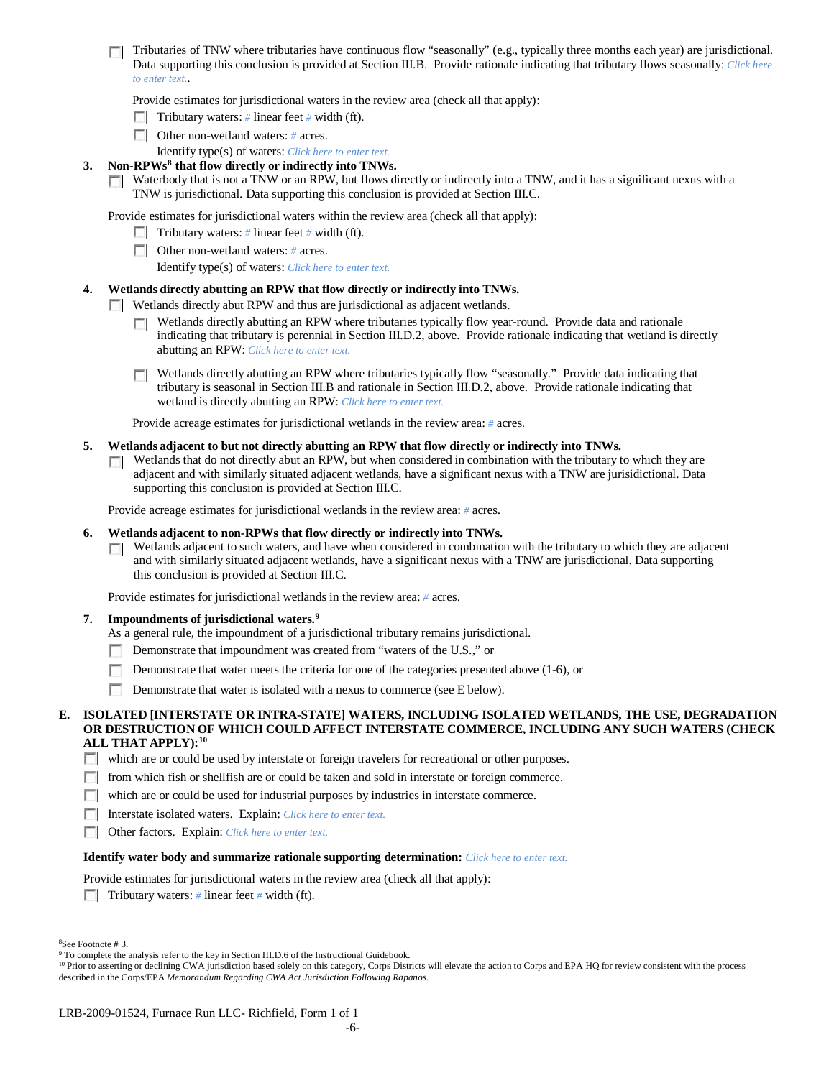Tributaries of TNW where tributaries have continuous flow "seasonally" (e.g., typically three months each year) are jurisdictional. Data supporting this conclusion is provided at Section III.B. Provide rationale indicating that tributary flows seasonally: *Click here to enter text.*.

Provide estimates for jurisdictional waters in the review area (check all that apply):

- Tributary waters: # linear feet # width (ft).
- Other non-wetland waters: *#* acres.
- Identify type(s) of waters: *Click here to enter text.*
- **3. Non-RPWs[8](#page-5-0) that flow directly or indirectly into TNWs.**
	- Waterbody that is not a TNW or an RPW, but flows directly or indirectly into a TNW, and it has a significant nexus with a TNW is jurisdictional. Data supporting this conclusion is provided at Section III.C.

Provide estimates for jurisdictional waters within the review area (check all that apply):

- Tributary waters: # linear feet # width (ft).
- Other non-wetland waters: *#* acres.
	- Identify type(s) of waters: *Click here to enter text.*

### **4. Wetlands directly abutting an RPW that flow directly or indirectly into TNWs.**

**Wetlands directly abut RPW and thus are jurisdictional as adjacent wetlands.** 

- Wetlands directly abutting an RPW where tributaries typically flow year-round. Provide data and rationale indicating that tributary is perennial in Section III.D.2, above. Provide rationale indicating that wetland is directly abutting an RPW: *Click here to enter text.*
- Wetlands directly abutting an RPW where tributaries typically flow "seasonally." Provide data indicating that tributary is seasonal in Section III.B and rationale in Section III.D.2, above. Provide rationale indicating that wetland is directly abutting an RPW: *Click here to enter text.*

Provide acreage estimates for jurisdictional wetlands in the review area: *#* acres.

#### **5. Wetlands adjacent to but not directly abutting an RPW that flow directly or indirectly into TNWs.**

 $\Box$  Wetlands that do not directly abut an RPW, but when considered in combination with the tributary to which they are adjacent and with similarly situated adjacent wetlands, have a significant nexus with a TNW are jurisidictional. Data supporting this conclusion is provided at Section III.C.

Provide acreage estimates for jurisdictional wetlands in the review area: *#* acres.

#### **6. Wetlands adjacent to non-RPWs that flow directly or indirectly into TNWs.**

Wetlands adjacent to such waters, and have when considered in combination with the tributary to which they are adjacent **ITT** and with similarly situated adjacent wetlands, have a significant nexus with a TNW are jurisdictional. Data supporting this conclusion is provided at Section III.C.

Provide estimates for jurisdictional wetlands in the review area: *#* acres.

#### **7. Impoundments of jurisdictional waters. [9](#page-5-1)**

As a general rule, the impoundment of a jurisdictional tributary remains jurisdictional.

- Demonstrate that impoundment was created from "waters of the U.S.," or
- Demonstrate that water meets the criteria for one of the categories presented above (1-6), or
- Demonstrate that water is isolated with a nexus to commerce (see E below).
- **E. ISOLATED [INTERSTATE OR INTRA-STATE] WATERS, INCLUDING ISOLATED WETLANDS, THE USE, DEGRADATION OR DESTRUCTION OF WHICH COULD AFFECT INTERSTATE COMMERCE, INCLUDING ANY SUCH WATERS (CHECK ALL THAT APPLY):[10](#page-5-2)**
	- which are or could be used by interstate or foreign travelers for recreational or other purposes.
	- from which fish or shellfish are or could be taken and sold in interstate or foreign commerce.
	- which are or could be used for industrial purposes by industries in interstate commerce.
	- Interstate isolated waters.Explain: *Click here to enter text.*
	- Other factors.Explain: *Click here to enter text.*

#### **Identify water body and summarize rationale supporting determination:** *Click here to enter text.*

Provide estimates for jurisdictional waters in the review area (check all that apply):

Tributary waters: # linear feet # width (ft).

 $\frac{1}{8}$ 

<span id="page-5-1"></span><span id="page-5-0"></span><sup>&</sup>lt;sup>8</sup>See Footnote # 3.<br><sup>9</sup> To complete the analysis refer to the key in Section III.D.6 of the Instructional Guidebook.

<span id="page-5-2"></span><sup>&</sup>lt;sup>10</sup> Prior to asserting or declining CWA jurisdiction based solely on this category, Corps Districts will elevate the action to Corps and EPA HQ for review consistent with the process described in the Corps/EPA *Memorandum Regarding CWA Act Jurisdiction Following Rapanos.*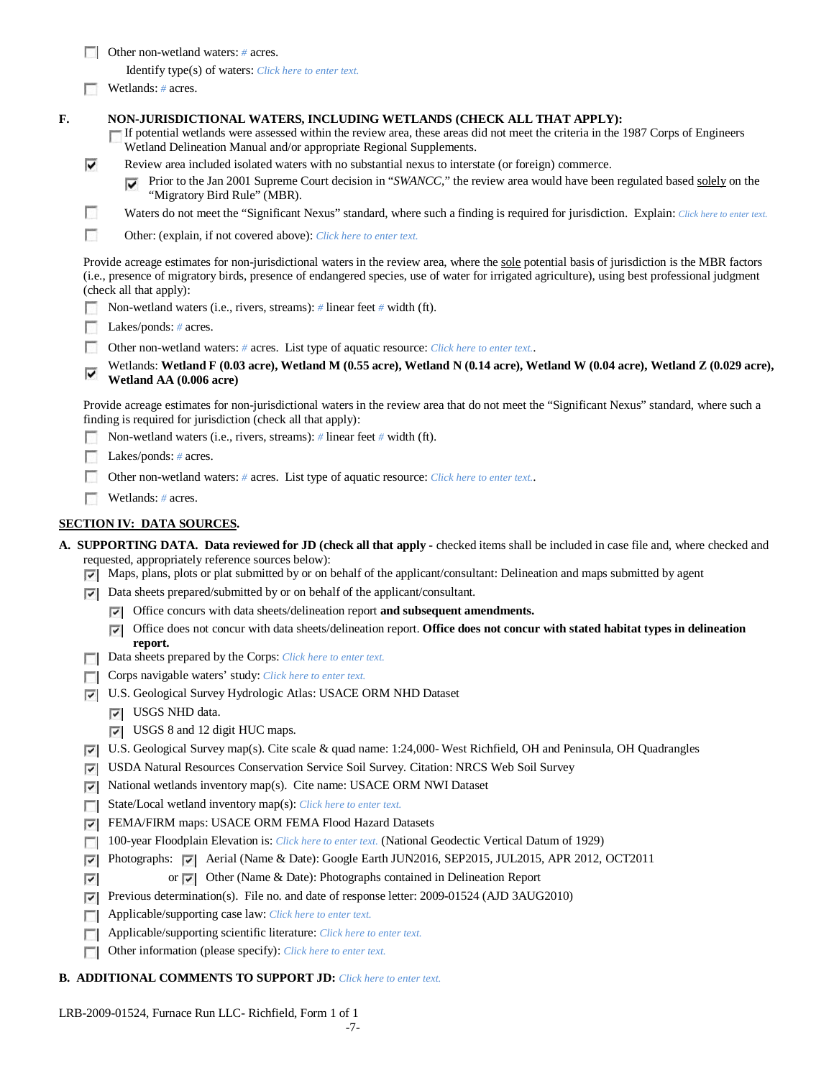Other non-wetland waters: *#* acres.

Identify type(s) of waters: *Click here to enter text.*

**Wetlands:** # acres.

#### **F. NON-JURISDICTIONAL WATERS, INCLUDING WETLANDS (CHECK ALL THAT APPLY):**

If potential wetlands were assessed within the review area, these areas did not meet the criteria in the 1987 Corps of Engineers Wetland Delineation Manual and/or appropriate Regional Supplements.

- ⊽ Review area included isolated waters with no substantial nexus to interstate (or foreign) commerce.
	- Prior to the Jan 2001 Supreme Court decision in "*SWANCC*," the review area would have been regulated based solely on the ⊽ "Migratory Bird Rule" (MBR).
- n Waters do not meet the "Significant Nexus" standard, where such a finding is required for jurisdiction. Explain: Click here to enter text.

**In** Other: (explain, if not covered above): *Click here to enter text.*

Provide acreage estimates for non-jurisdictional waters in the review area, where the sole potential basis of jurisdiction is the MBR factors (i.e., presence of migratory birds, presence of endangered species, use of water for irrigated agriculture), using best professional judgment (check all that apply):

- Non-wetland waters (i.e., rivers, streams): *#* linear feet *#* width (ft).
- Lakes/ponds: # acres.
- **1999** Other non-wetland waters: *#* acres. List type of aquatic resource: *Click here to enter text.*.
- Wetlands: **Wetland F (0.03 acre), Wetland M (0.55 acre), Wetland N (0.14 acre), Wetland W (0.04 acre), Wetland Z (0.029 acre),**  ⊽ **Wetland AA (0.006 acre)**

Provide acreage estimates for non-jurisdictional waters in the review area that do not meet the "Significant Nexus" standard, where such a finding is required for jurisdiction (check all that apply):

- Non-wetland waters (i.e., rivers, streams): *#* linear feet *#* width (ft).
- Lakes/ponds: # acres.
- Other non-wetland waters: *#* acres. List type of aquatic resource: *Click here to enter text.*.
- Wetlands: *#* acres.

### **SECTION IV: DATA SOURCES.**

- **A. SUPPORTING DATA. Data reviewed for JD (check all that apply -** checked items shall be included in case file and, where checked and requested, appropriately reference sources below):
	- $\nabla$  Maps, plans, plots or plat submitted by or on behalf of the applicant/consultant: Delineation and maps submitted by agent
	- Data sheets prepared/submitted by or on behalf of the applicant/consultant.
		- Office concurs with data sheets/delineation report **and subsequent amendments.**
		- Office does not concur with data sheets/delineation report. **Office does not concur with stated habitat types in delineation report.**
	- Data sheets prepared by the Corps: *Click here to enter text.*
	- Corps navigable waters' study: *Click here to enter text.*
	- U.S. Geological Survey Hydrologic Atlas: USACE ORM NHD Dataset
		- USGS NHD data.
		- USGS 8 and 12 digit HUC maps.
	- U.S. Geological Survey map(s). Cite scale & quad name: 1:24,000- West Richfield, OH and Peninsula, OH Quadrangles
	- USDA Natural Resources Conservation Service Soil Survey. Citation: NRCS Web Soil Survey
	- $\nabla$  National wetlands inventory map(s). Cite name: USACE ORM NWI Dataset
	- State/Local wetland inventory map(s): *Click here to enter text.*
	- FEMA/FIRM maps: USACE ORM FEMA Flood Hazard Datasets
	- 100-year Floodplain Elevation is: *Click here to enter text.* (National Geodectic Vertical Datum of 1929)
	- Photographs: Aerial (Name & Date): Google Earth JUN2016, SEP2015, JUL2015, APR 2012, OCT2011
	- or  $\nabla$  Other (Name & Date): Photographs contained in Delineation Report ⊽
	- **Previous determination(s).** File no. and date of response letter:  $2009-01524$  (AJD 3AUG2010)
	- Applicable/supporting case law: *Click here to enter text.*
	- Applicable/supporting scientific literature: *Click here to enter text.*  $\overline{a}$
	- Other information (please specify): *Click here to enter text.*  $\sim$

### **B. ADDITIONAL COMMENTS TO SUPPORT JD:** *Click here to enter text.*